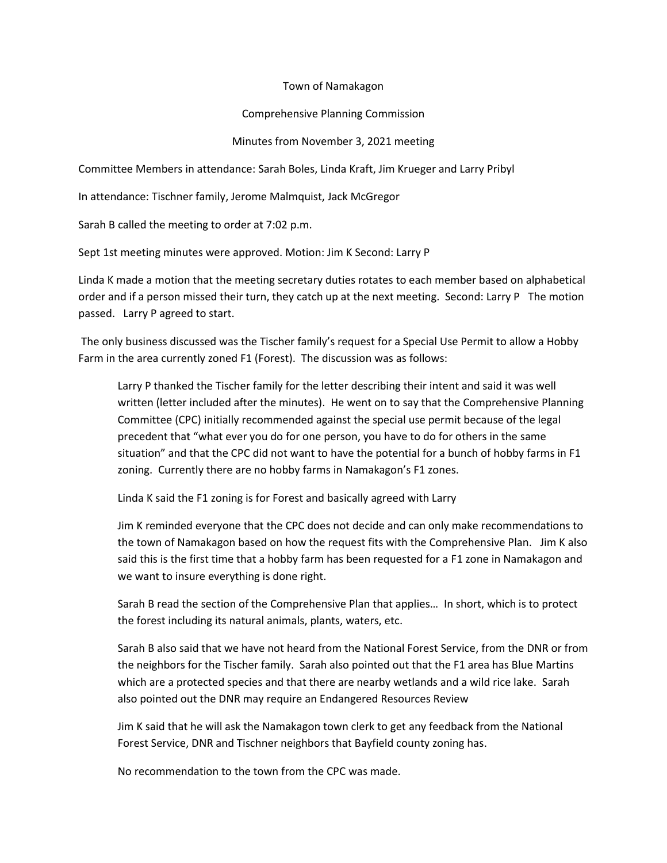## Town of Namakagon

## Comprehensive Planning Commission

## Minutes from November 3, 2021 meeting

Committee Members in attendance: Sarah Boles, Linda Kraft, Jim Krueger and Larry Pribyl

In attendance: Tischner family, Jerome Malmquist, Jack McGregor

Sarah B called the meeting to order at 7:02 p.m.

Sept 1st meeting minutes were approved. Motion: Jim K Second: Larry P

Linda K made a motion that the meeting secretary duties rotates to each member based on alphabetical order and if a person missed their turn, they catch up at the next meeting. Second: Larry P The motion passed. Larry P agreed to start.

The only business discussed was the Tischer family's request for a Special Use Permit to allow a Hobby Farm in the area currently zoned F1 (Forest). The discussion was as follows:

Larry P thanked the Tischer family for the letter describing their intent and said it was well written (letter included after the minutes). He went on to say that the Comprehensive Planning Committee (CPC) initially recommended against the special use permit because of the legal precedent that "what ever you do for one person, you have to do for others in the same situation" and that the CPC did not want to have the potential for a bunch of hobby farms in F1 zoning. Currently there are no hobby farms in Namakagon's F1 zones.

Linda K said the F1 zoning is for Forest and basically agreed with Larry

Jim K reminded everyone that the CPC does not decide and can only make recommendations to the town of Namakagon based on how the request fits with the Comprehensive Plan. Jim K also said this is the first time that a hobby farm has been requested for a F1 zone in Namakagon and we want to insure everything is done right.

Sarah B read the section of the Comprehensive Plan that applies… In short, which is to protect the forest including its natural animals, plants, waters, etc.

Sarah B also said that we have not heard from the National Forest Service, from the DNR or from the neighbors for the Tischer family. Sarah also pointed out that the F1 area has Blue Martins which are a protected species and that there are nearby wetlands and a wild rice lake. Sarah also pointed out the DNR may require an Endangered Resources Review

Jim K said that he will ask the Namakagon town clerk to get any feedback from the National Forest Service, DNR and Tischner neighbors that Bayfield county zoning has.

No recommendation to the town from the CPC was made.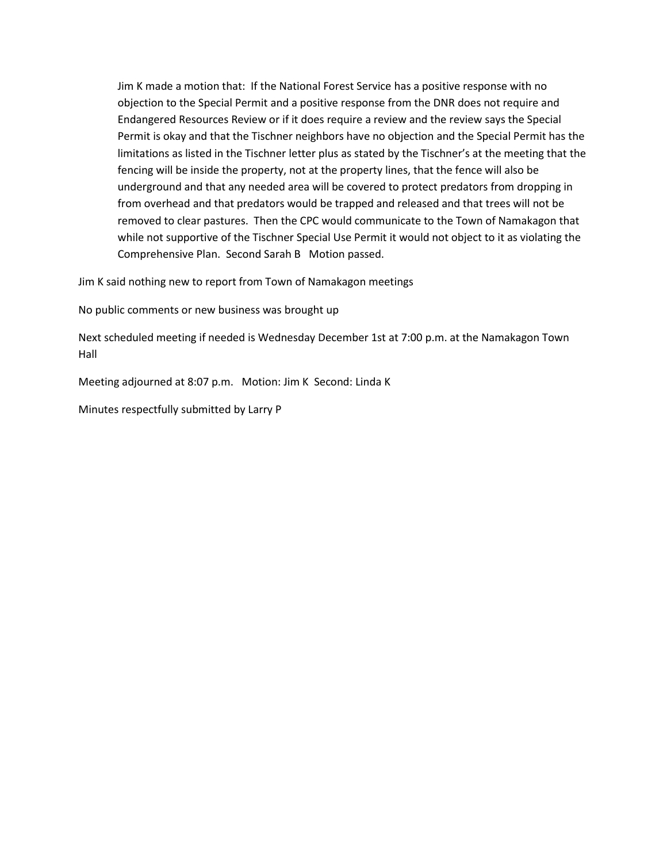Jim K made a motion that: If the National Forest Service has a positive response with no objection to the Special Permit and a positive response from the DNR does not require and Endangered Resources Review or if it does require a review and the review says the Special Permit is okay and that the Tischner neighbors have no objection and the Special Permit has the limitations as listed in the Tischner letter plus as stated by the Tischner's at the meeting that the fencing will be inside the property, not at the property lines, that the fence will also be underground and that any needed area will be covered to protect predators from dropping in from overhead and that predators would be trapped and released and that trees will not be removed to clear pastures. Then the CPC would communicate to the Town of Namakagon that while not supportive of the Tischner Special Use Permit it would not object to it as violating the Comprehensive Plan. Second Sarah B Motion passed.

Jim K said nothing new to report from Town of Namakagon meetings

No public comments or new business was brought up

Next scheduled meeting if needed is Wednesday December 1st at 7:00 p.m. at the Namakagon Town Hall

Meeting adjourned at 8:07 p.m. Motion: Jim K Second: Linda K

Minutes respectfully submitted by Larry P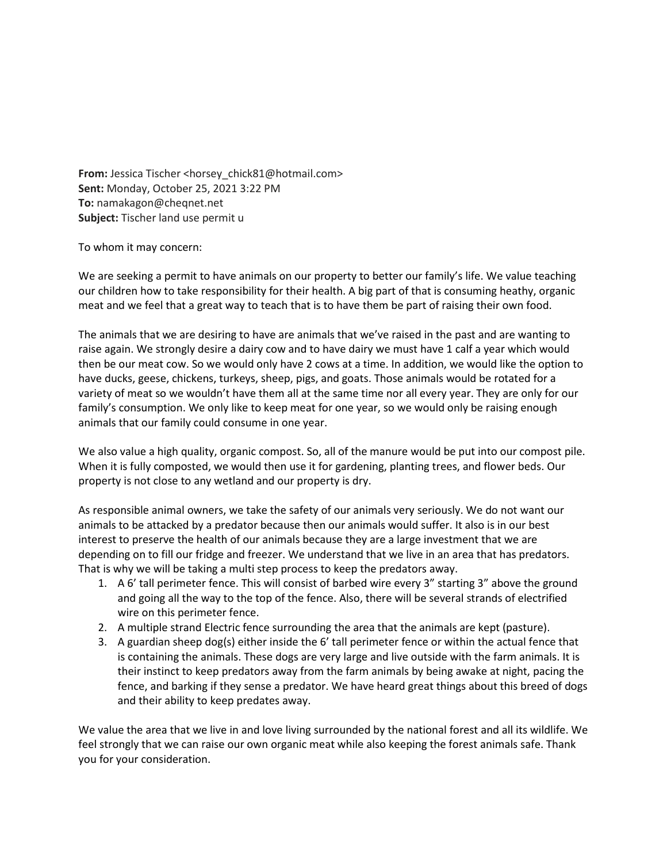From: Jessica Tischer <horsey\_chick81@hotmail.com> **Sent:** Monday, October 25, 2021 3:22 PM **To:** namakagon@cheqnet.net **Subject:** Tischer land use permit u

To whom it may concern:

We are seeking a permit to have animals on our property to better our family's life. We value teaching our children how to take responsibility for their health. A big part of that is consuming heathy, organic meat and we feel that a great way to teach that is to have them be part of raising their own food.

The animals that we are desiring to have are animals that we've raised in the past and are wanting to raise again. We strongly desire a dairy cow and to have dairy we must have 1 calf a year which would then be our meat cow. So we would only have 2 cows at a time. In addition, we would like the option to have ducks, geese, chickens, turkeys, sheep, pigs, and goats. Those animals would be rotated for a variety of meat so we wouldn't have them all at the same time nor all every year. They are only for our family's consumption. We only like to keep meat for one year, so we would only be raising enough animals that our family could consume in one year.

We also value a high quality, organic compost. So, all of the manure would be put into our compost pile. When it is fully composted, we would then use it for gardening, planting trees, and flower beds. Our property is not close to any wetland and our property is dry.

As responsible animal owners, we take the safety of our animals very seriously. We do not want our animals to be attacked by a predator because then our animals would suffer. It also is in our best interest to preserve the health of our animals because they are a large investment that we are depending on to fill our fridge and freezer. We understand that we live in an area that has predators. That is why we will be taking a multi step process to keep the predators away.

- 1. A 6' tall perimeter fence. This will consist of barbed wire every 3" starting 3" above the ground and going all the way to the top of the fence. Also, there will be several strands of electrified wire on this perimeter fence.
- 2. A multiple strand Electric fence surrounding the area that the animals are kept (pasture).
- 3. A guardian sheep dog(s) either inside the 6' tall perimeter fence or within the actual fence that is containing the animals. These dogs are very large and live outside with the farm animals. It is their instinct to keep predators away from the farm animals by being awake at night, pacing the fence, and barking if they sense a predator. We have heard great things about this breed of dogs and their ability to keep predates away.

We value the area that we live in and love living surrounded by the national forest and all its wildlife. We feel strongly that we can raise our own organic meat while also keeping the forest animals safe. Thank you for your consideration.